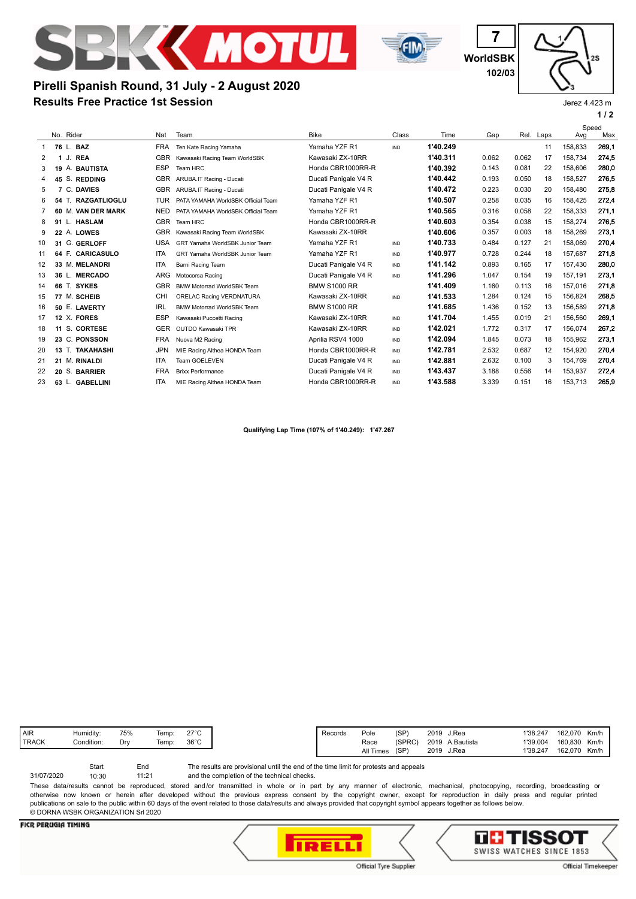



**WorldSBK 7 102/03**

# **Results Free Practice 1st Session Pirelli Spanish Round, 31 July - 2 August 2020**

Jerez 4.423 m

**1 / 2**

|    |    |                           |            |                                    |                      |            |          |       |       |      | Speed   |       |
|----|----|---------------------------|------------|------------------------------------|----------------------|------------|----------|-------|-------|------|---------|-------|
|    |    | No. Rider                 | Nat        | Team                               | <b>Bike</b>          | Class      | Time     | Gap   | Rel.  | Laps | Avg     | Max   |
| 1  |    | 76 L. BAZ                 | <b>FRA</b> | Ten Kate Racing Yamaha             | Yamaha YZF R1        | IND        | 1'40.249 |       |       | 11   | 158.833 | 269.1 |
| 2  |    | J.<br><b>REA</b><br>1     | <b>GBR</b> | Kawasaki Racing Team WorldSBK      | Kawasaki ZX-10RR     |            | 1'40.311 | 0.062 | 0.062 | 17   | 158,734 | 274,5 |
| 3  | 19 | A. BAUTISTA               | <b>ESP</b> | Team HRC                           | Honda CBR1000RR-R    |            | 1'40.392 | 0.143 | 0.081 | 22   | 158,606 | 280.0 |
| 4  |    | 45 S. REDDING             | <b>GBR</b> | ARUBA.IT Racing - Ducati           | Ducati Panigale V4 R |            | 1'40.442 | 0.193 | 0.050 | 18   | 158,527 | 276,5 |
| 5  | 7  | C. DAVIES                 | <b>GBR</b> | ARUBA.IT Racing - Ducati           | Ducati Panigale V4 R |            | 1'40.472 | 0.223 | 0.030 | 20   | 158,480 | 275.8 |
| 6  | 54 | T. RAZGATLIOGLU           | <b>TUR</b> | PATA YAMAHA WorldSBK Official Team | Yamaha YZF R1        |            | 1'40.507 | 0.258 | 0.035 | 16   | 158,425 | 272,4 |
|    |    | 60 M. VAN DER MARK        | <b>NED</b> | PATA YAMAHA WorldSBK Official Team | Yamaha YZF R1        |            | 1'40.565 | 0.316 | 0.058 | 22   | 158.333 | 271.1 |
| 8  |    | 91 L. HASLAM              | <b>GBR</b> | Team HRC                           | Honda CBR1000RR-R    |            | 1'40.603 | 0.354 | 0.038 | 15   | 158,274 | 276.5 |
| 9  |    | 22 A. LOWES               | <b>GBR</b> | Kawasaki Racing Team WorldSBK      | Kawasaki ZX-10RR     |            | 1'40.606 | 0.357 | 0.003 | 18   | 158,269 | 273.1 |
| 10 |    | 31 G. GERLOFF             | <b>USA</b> | GRT Yamaha WorldSBK Junior Team    | Yamaha YZF R1        | IND        | 1'40.733 | 0.484 | 0.127 | 21   | 158,069 | 270.4 |
| 11 |    | 64 F. CARICASULO          | <b>ITA</b> | GRT Yamaha WorldSBK Junior Team    | Yamaha YZF R1        | IND        | 1'40.977 | 0.728 | 0.244 | 18   | 157.687 | 271,8 |
| 12 |    | 33 M. MELANDRI            | <b>ITA</b> | Barni Racing Team                  | Ducati Panigale V4 R | IND        | 1'41.142 | 0.893 | 0.165 | 17   | 157,430 | 280,0 |
| 13 |    | 36 L. MERCADO             | <b>ARG</b> | Motocorsa Racing                   | Ducati Panigale V4 R | IND        | 1'41.296 | 1.047 | 0.154 | 19   | 157.191 | 273.1 |
| 14 |    | 66 T. SYKES               | <b>GBR</b> | <b>BMW Motorrad WorldSBK Team</b>  | <b>BMW S1000 RR</b>  |            | 1'41.409 | 1.160 | 0.113 | 16   | 157,016 | 271,8 |
| 15 |    | 77 M. SCHEIB              | CHI        | ORELAC Racing VERDNATURA           | Kawasaki ZX-10RR     | IND        | 1'41.533 | 1.284 | 0.124 | 15   | 156.824 | 268.5 |
| 16 |    | 50 E. LAVERTY             | <b>IRL</b> | <b>BMW Motorrad WorldSBK Team</b>  | <b>BMW S1000 RR</b>  |            | 1'41.685 | 1.436 | 0.152 | 13   | 156,589 | 271,8 |
| 17 |    | 12 X. FORES               | <b>ESP</b> | Kawasaki Puccetti Racing           | Kawasaki ZX-10RR     | <b>IND</b> | 1'41.704 | 1.455 | 0.019 | 21   | 156,560 | 269.1 |
| 18 | 11 | S. CORTESE                | <b>GER</b> | OUTDO Kawasaki TPR                 | Kawasaki ZX-10RR     | IND        | 1'42.021 | 1.772 | 0.317 | 17   | 156,074 | 267,2 |
| 19 |    | 23 C. PONSSON             | <b>FRA</b> | Nuova M2 Racing                    | Aprilia RSV4 1000    | IND        | 1'42.094 | 1.845 | 0.073 | 18   | 155.962 | 273.1 |
| 20 |    | 13 T. TAKAHASHI           | <b>JPN</b> | MIE Racing Althea HONDA Team       | Honda CBR1000RR-R    | IND        | 1'42.781 | 2.532 | 0.687 | 12   | 154,920 | 270,4 |
| 21 |    | 21 M. RINALDI             | <b>ITA</b> | Team GOELEVEN                      | Ducati Panigale V4 R | IND        | 1'42.881 | 2.632 | 0.100 | 3    | 154.769 | 270.4 |
| 22 |    | 20 S. BARRIER             | <b>FRA</b> | <b>Brixx Performance</b>           | Ducati Panigale V4 R | IND        | 1'43.437 | 3.188 | 0.556 | 14   | 153.937 | 272,4 |
| 23 |    | <b>GABELLINI</b><br>63 L. | <b>ITA</b> | MIE Racing Althea HONDA Team       | Honda CBR1000RR-R    | <b>IND</b> | 1'43.588 | 3.339 | 0.151 | 16   | 153,713 | 265,9 |
|    |    |                           |            |                                    |                      |            |          |       |       |      |         |       |

**Qualifying Lap Time (107% of 1'40.249): 1'47.267**

The results are provisional until the end of the time limit for protests and appeals Start End 31/07/2020 10:30

and the completion of the technical checks. 11:21

These data/results cannot be reproduced, stored and/or transmitted in whole or in part by any manner of electronic, mechanical, photocopying, recording, broadcasting or otherwise now known or herein after developed without the previous express consent by the copyright owner, except for reproduction in daily press and regular printed publications on sale to the public within 60 days of the event related to those data/results and always provided that copyright symbol appears together as follows below. © DORNA WSBK ORGANIZATION Srl 2020

## **FICR PERUGIA TIMING**





Official Timekeeper